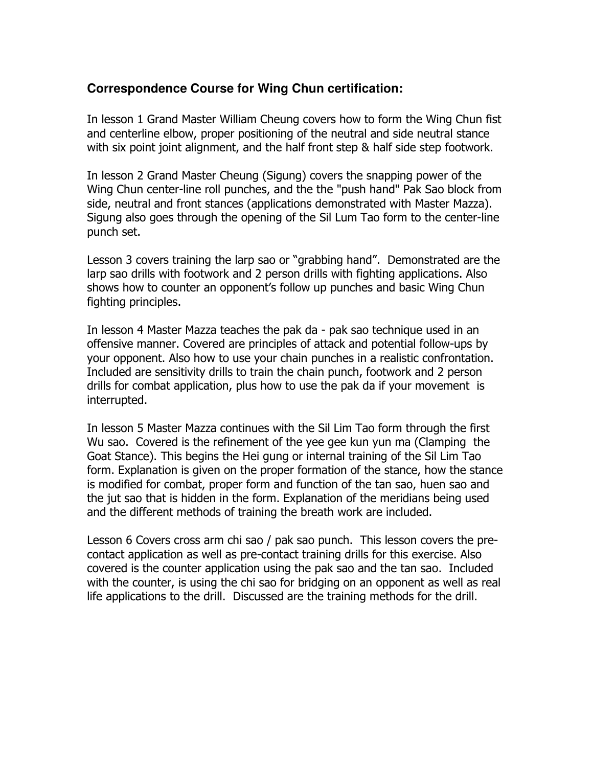## **Correspondence Course for Wing Chun certification:**

In lesson 1 Grand Master William Cheung covers how to form the Wing Chun fist and centerline elbow, proper positioning of the neutral and side neutral stance with six point joint alignment, and the half front step & half side step footwork.

In lesson 2 Grand Master Cheung (Sigung) covers the snapping power of the Wing Chun center-line roll punches, and the the "push hand" Pak Sao block from side, neutral and front stances (applications demonstrated with Master Mazza). Sigung also goes through the opening of the Sil Lum Tao form to the center-line punch set.

Lesson 3 covers training the larp sao or "grabbing hand". Demonstrated are the larp sao drills with footwork and 2 person drills with fighting applications. Also shows how to counter an opponent's follow up punches and basic Wing Chun fighting principles.

In lesson 4 Master Mazza teaches the pak da - pak sao technique used in an offensive manner. Covered are principles of attack and potential follow-ups by your opponent. Also how to use your chain punches in a realistic confrontation. Included are sensitivity drills to train the chain punch, footwork and 2 person drills for combat application, plus how to use the pak da if your movement is interrupted.

In lesson 5 Master Mazza continues with the Sil Lim Tao form through the first Wu sao. Covered is the refinement of the yee gee kun yun ma (Clamping the Goat Stance). This begins the Hei gung or internal training of the Sil Lim Tao form. Explanation is given on the proper formation of the stance, how the stance is modified for combat, proper form and function of the tan sao, huen sao and the jut sao that is hidden in the form. Explanation of the meridians being used and the different methods of training the breath work are included.

Lesson 6 Covers cross arm chi sao / pak sao punch. This lesson covers the precontact application as well as pre-contact training drills for this exercise. Also covered is the counter application using the pak sao and the tan sao. Included with the counter, is using the chi sao for bridging on an opponent as well as real life applications to the drill. Discussed are the training methods for the drill.